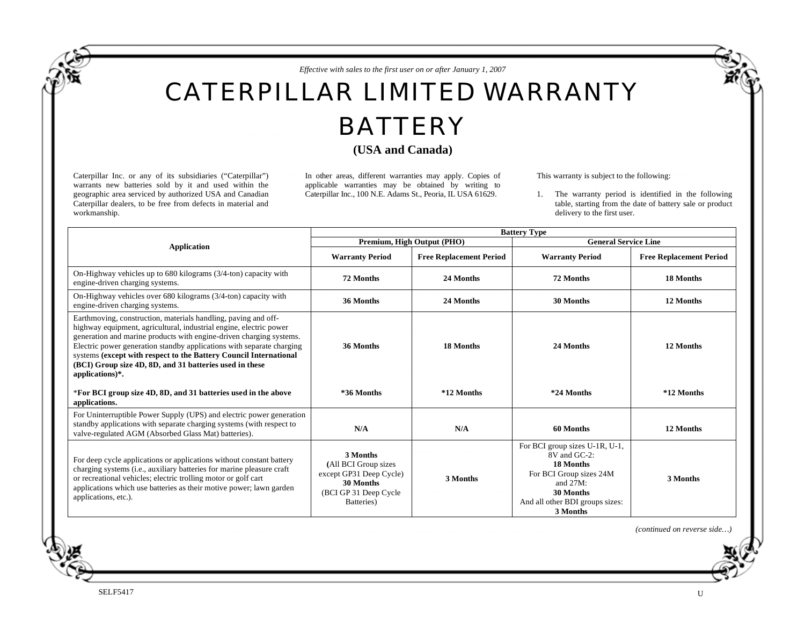*Effective with sales to the first user on or after January 1, 2007* 

## CATERPILLAR LIMITED WARRANTY

## **BATTERY**

## **(USA and Canada)**

Caterpillar Inc. or any of its subsidiaries ("Caterpillar") warrants new batteries sold by it and used within the geographic area serviced by authorized USA and Canadian Caterpillar dealers, to be free from defects in material and workmanship.

In other areas, different warranties may apply. Copies of applicable warranties may be obtained by writing to Caterpillar Inc., 100 N.E. Adams St., Peoria, IL USA 61629.

This warranty is subject to the following:

1. The warranty period is identified in the following table, starting from the date of battery sale or product delivery to the first user.

|                                                                                                                                                                                                                                                                                                                                                                                                                                             | <b>Battery Type</b>                                                                                              |                                |                                                                                                                                                                               |                                |
|---------------------------------------------------------------------------------------------------------------------------------------------------------------------------------------------------------------------------------------------------------------------------------------------------------------------------------------------------------------------------------------------------------------------------------------------|------------------------------------------------------------------------------------------------------------------|--------------------------------|-------------------------------------------------------------------------------------------------------------------------------------------------------------------------------|--------------------------------|
| <b>Application</b>                                                                                                                                                                                                                                                                                                                                                                                                                          | Premium, High Output (PHO)                                                                                       |                                | <b>General Service Line</b>                                                                                                                                                   |                                |
|                                                                                                                                                                                                                                                                                                                                                                                                                                             | <b>Warranty Period</b>                                                                                           | <b>Free Replacement Period</b> | <b>Warranty Period</b>                                                                                                                                                        | <b>Free Replacement Period</b> |
| On-Highway vehicles up to $680$ kilograms $(3/4$ -ton) capacity with<br>engine-driven charging systems.                                                                                                                                                                                                                                                                                                                                     | 72 Months                                                                                                        | 24 Months                      | 72 Months                                                                                                                                                                     | 18 Months                      |
| On-Highway vehicles over 680 kilograms (3/4-ton) capacity with<br>engine-driven charging systems.                                                                                                                                                                                                                                                                                                                                           | 36 Months                                                                                                        | 24 Months                      | 12 Months<br>30 Months                                                                                                                                                        |                                |
| Earthmoving, construction, materials handling, paving and off-<br>highway equipment, agricultural, industrial engine, electric power<br>generation and marine products with engine-driven charging systems.<br>Electric power generation standby applications with separate charging<br>systems (except with respect to the Battery Council International<br>(BCI) Group size 4D, 8D, and 31 batteries used in these<br>applications) $*$ . | 36 Months                                                                                                        | 18 Months                      | 24 Months                                                                                                                                                                     | 12 Months                      |
| *For BCI group size 4D, 8D, and 31 batteries used in the above<br>applications.                                                                                                                                                                                                                                                                                                                                                             | *36 Months                                                                                                       | *12 Months                     | *24 Months                                                                                                                                                                    | *12 Months                     |
| For Uninterruptible Power Supply (UPS) and electric power generation<br>standby applications with separate charging systems (with respect to<br>valve-regulated AGM (Absorbed Glass Mat) batteries).                                                                                                                                                                                                                                        | N/A                                                                                                              | N/A                            | 60 Months<br>12 Months                                                                                                                                                        |                                |
| For deep cycle applications or applications without constant battery<br>charging systems (i.e., auxiliary batteries for marine pleasure craft<br>or recreational vehicles; electric trolling motor or golf cart<br>applications which use batteries as their motive power; lawn garden<br>applications, etc.).                                                                                                                              | 3 Months<br>(All BCI Group sizes<br>except GP31 Deep Cycle)<br>30 Months<br>(BCI GP 31 Deep Cycle)<br>Batteries) | 3 Months                       | For BCI group sizes U-1R, U-1,<br>8V and GC-2:<br>18 Months<br>For BCI Group sizes 24M<br>3 Months<br>and $27M$ :<br>30 Months<br>And all other BDI groups sizes:<br>3 Months |                                |

*(continued on reverse side…)*